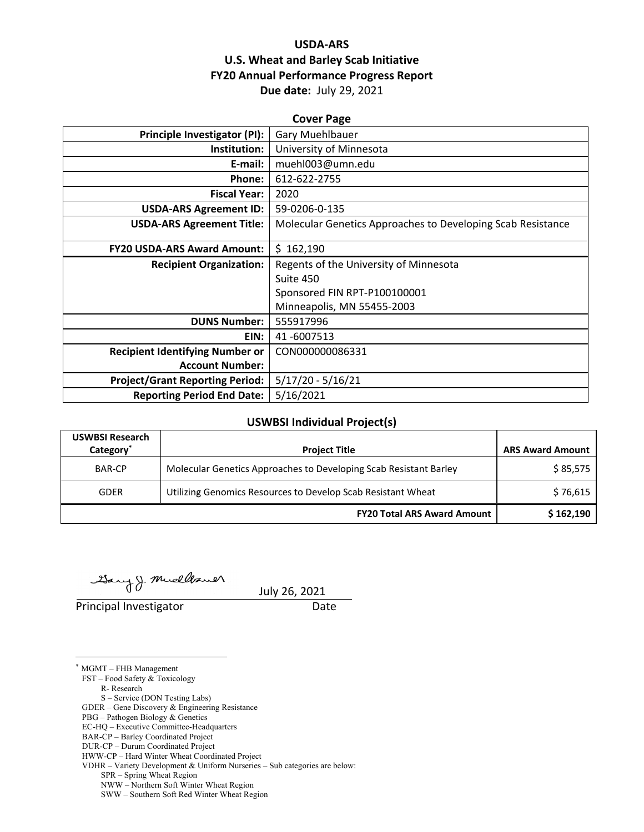## **USDA‐ARS U.S. Wheat and Barley Scab Initiative FY20 Annual Performance Progress Report Due date:** July 29, 2021

| <b>Cover Page</b>                      |                                                             |  |  |
|----------------------------------------|-------------------------------------------------------------|--|--|
| Principle Investigator (PI):           | Gary Muehlbauer                                             |  |  |
| Institution:                           | University of Minnesota                                     |  |  |
| E-mail:                                | muehl003@umn.edu                                            |  |  |
| Phone:                                 | 612-622-2755                                                |  |  |
| <b>Fiscal Year:</b>                    | 2020                                                        |  |  |
| <b>USDA-ARS Agreement ID:</b>          | 59-0206-0-135                                               |  |  |
| <b>USDA-ARS Agreement Title:</b>       | Molecular Genetics Approaches to Developing Scab Resistance |  |  |
|                                        |                                                             |  |  |
| <b>FY20 USDA-ARS Award Amount:</b>     | \$162,190                                                   |  |  |
| <b>Recipient Organization:</b>         | Regents of the University of Minnesota                      |  |  |
|                                        | Suite 450                                                   |  |  |
|                                        | Sponsored FIN RPT-P100100001                                |  |  |
|                                        | Minneapolis, MN 55455-2003                                  |  |  |
| <b>DUNS Number:</b>                    | 555917996                                                   |  |  |
| EIN:                                   | 41-6007513                                                  |  |  |
| <b>Recipient Identifying Number or</b> | CON000000086331                                             |  |  |
| <b>Account Number:</b>                 |                                                             |  |  |
| <b>Project/Grant Reporting Period:</b> | $5/17/20 - 5/16/21$                                         |  |  |
| <b>Reporting Period End Date:</b>      | 5/16/2021                                                   |  |  |

## **USWBSI Individual Project(s)**

| <b>USWBSI Research</b><br>Category <sup>*</sup> | <b>Project Title</b>                                              | <b>ARS Award Amount</b> |  |
|-------------------------------------------------|-------------------------------------------------------------------|-------------------------|--|
| <b>BAR-CP</b>                                   | Molecular Genetics Approaches to Developing Scab Resistant Barley | \$85,575                |  |
| <b>GDER</b>                                     | Utilizing Genomics Resources to Develop Scab Resistant Wheat      | \$76,615                |  |
|                                                 | <b>FY20 Total ARS Award Amount</b>                                | \$162,190               |  |

Gary J. Muellaner

Principal Investigator **Date** 

July 26, 2021

\* MGMT – FHB Management

<u>.</u>

FST – Food Safety & Toxicology

R- Research

S – Service (DON Testing Labs)

GDER – Gene Discovery & Engineering Resistance

PBG – Pathogen Biology & Genetics

EC-HQ – Executive Committee-Headquarters

BAR-CP – Barley Coordinated Project

HWW-CP – Hard Winter Wheat Coordinated Project VDHR – Variety Development & Uniform Nurseries – Sub categories are below:

SPR – Spring Wheat Region

 NWW – Northern Soft Winter Wheat Region SWW – Southern Soft Red Winter Wheat Region

DUR-CP – Durum Coordinated Project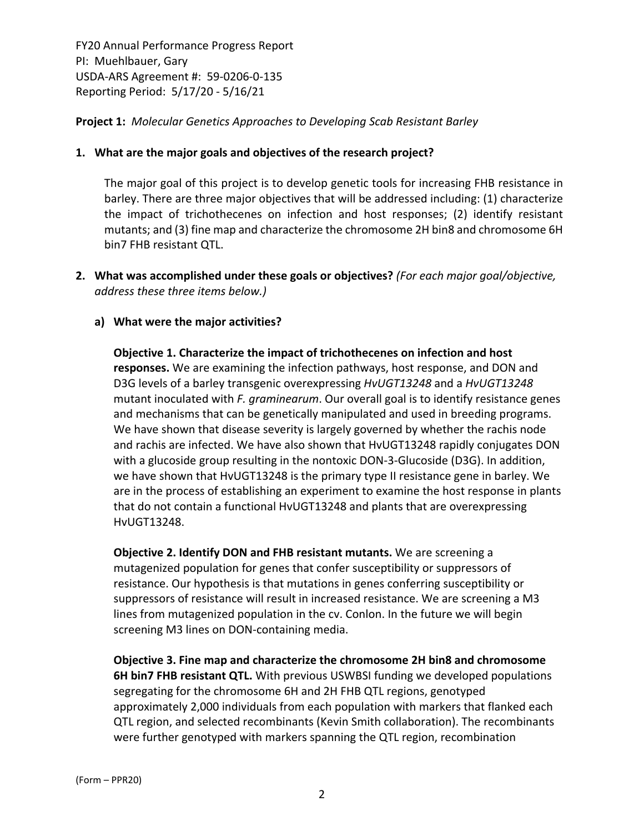## **Project 1:** *Molecular Genetics Approaches to Developing Scab Resistant Barley*

#### **1. What are the major goals and objectives of the research project?**

The major goal of this project is to develop genetic tools for increasing FHB resistance in barley. There are three major objectives that will be addressed including: (1) characterize the impact of trichothecenes on infection and host responses; (2) identify resistant mutants; and (3) fine map and characterize the chromosome 2H bin8 and chromosome 6H bin7 FHB resistant QTL.

**2. What was accomplished under these goals or objectives?** *(For each major goal/objective, address these three items below.)*

#### **a) What were the major activities?**

**Objective 1. Characterize the impact of trichothecenes on infection and host responses.** We are examining the infection pathways, host response, and DON and D3G levels of a barley transgenic overexpressing *HvUGT13248* and a *HvUGT13248* mutant inoculated with *F. graminearum*. Our overall goal is to identify resistance genes and mechanisms that can be genetically manipulated and used in breeding programs. We have shown that disease severity is largely governed by whether the rachis node and rachis are infected. We have also shown that HvUGT13248 rapidly conjugates DON with a glucoside group resulting in the nontoxic DON‐3‐Glucoside (D3G). In addition, we have shown that HvUGT13248 is the primary type II resistance gene in barley. We are in the process of establishing an experiment to examine the host response in plants that do not contain a functional HvUGT13248 and plants that are overexpressing HvUGT13248.

**Objective 2. Identify DON and FHB resistant mutants.** We are screening a mutagenized population for genes that confer susceptibility or suppressors of resistance. Our hypothesis is that mutations in genes conferring susceptibility or suppressors of resistance will result in increased resistance. We are screening a M3 lines from mutagenized population in the cv. Conlon. In the future we will begin screening M3 lines on DON‐containing media.

**Objective 3. Fine map and characterize the chromosome 2H bin8 and chromosome 6H bin7 FHB resistant QTL.** With previous USWBSI funding we developed populations segregating for the chromosome 6H and 2H FHB QTL regions, genotyped approximately 2,000 individuals from each population with markers that flanked each QTL region, and selected recombinants (Kevin Smith collaboration). The recombinants were further genotyped with markers spanning the QTL region, recombination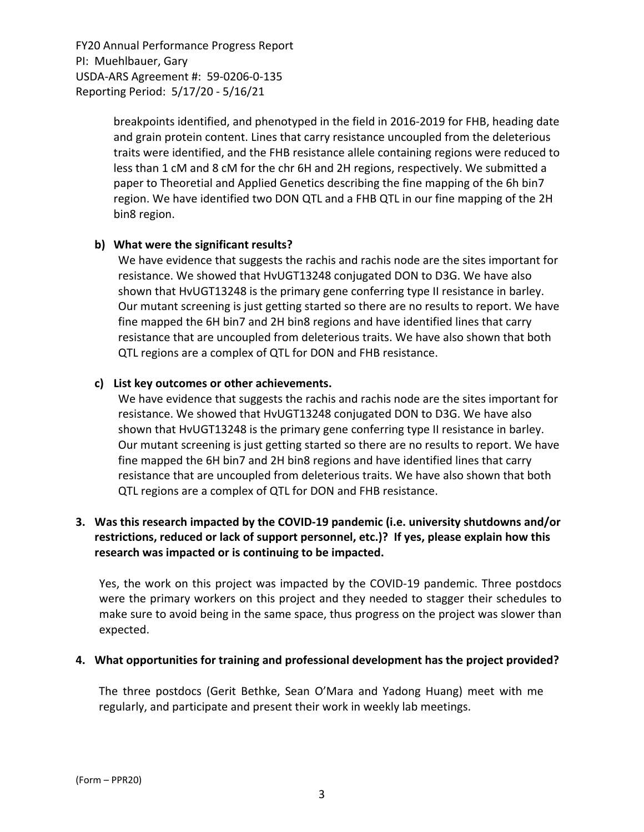> breakpoints identified, and phenotyped in the field in 2016‐2019 for FHB, heading date and grain protein content. Lines that carry resistance uncoupled from the deleterious traits were identified, and the FHB resistance allele containing regions were reduced to less than 1 cM and 8 cM for the chr 6H and 2H regions, respectively. We submitted a paper to Theoretial and Applied Genetics describing the fine mapping of the 6h bin7 region. We have identified two DON QTL and a FHB QTL in our fine mapping of the 2H bin8 region.

#### **b) What were the significant results?**

We have evidence that suggests the rachis and rachis node are the sites important for resistance. We showed that HvUGT13248 conjugated DON to D3G. We have also shown that HvUGT13248 is the primary gene conferring type II resistance in barley. Our mutant screening is just getting started so there are no results to report. We have fine mapped the 6H bin7 and 2H bin8 regions and have identified lines that carry resistance that are uncoupled from deleterious traits. We have also shown that both QTL regions are a complex of QTL for DON and FHB resistance.

## **c) List key outcomes or other achievements.**

We have evidence that suggests the rachis and rachis node are the sites important for resistance. We showed that HvUGT13248 conjugated DON to D3G. We have also shown that HvUGT13248 is the primary gene conferring type II resistance in barley. Our mutant screening is just getting started so there are no results to report. We have fine mapped the 6H bin7 and 2H bin8 regions and have identified lines that carry resistance that are uncoupled from deleterious traits. We have also shown that both QTL regions are a complex of QTL for DON and FHB resistance.

## **3. Was this research impacted by the COVID‐19 pandemic (i.e. university shutdowns and/or restrictions, reduced or lack of support personnel, etc.)? If yes, please explain how this research was impacted or is continuing to be impacted.**

Yes, the work on this project was impacted by the COVID‐19 pandemic. Three postdocs were the primary workers on this project and they needed to stagger their schedules to make sure to avoid being in the same space, thus progress on the project was slower than expected.

#### **4. What opportunities for training and professional development has the project provided?**

The three postdocs (Gerit Bethke, Sean O'Mara and Yadong Huang) meet with me regularly, and participate and present their work in weekly lab meetings.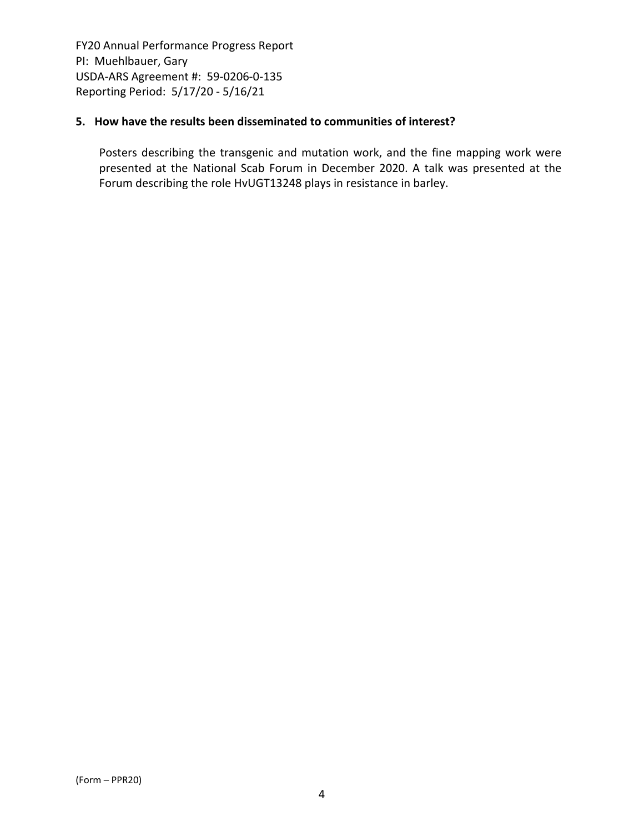## **5. How have the results been disseminated to communities of interest?**

Posters describing the transgenic and mutation work, and the fine mapping work were presented at the National Scab Forum in December 2020. A talk was presented at the Forum describing the role HvUGT13248 plays in resistance in barley.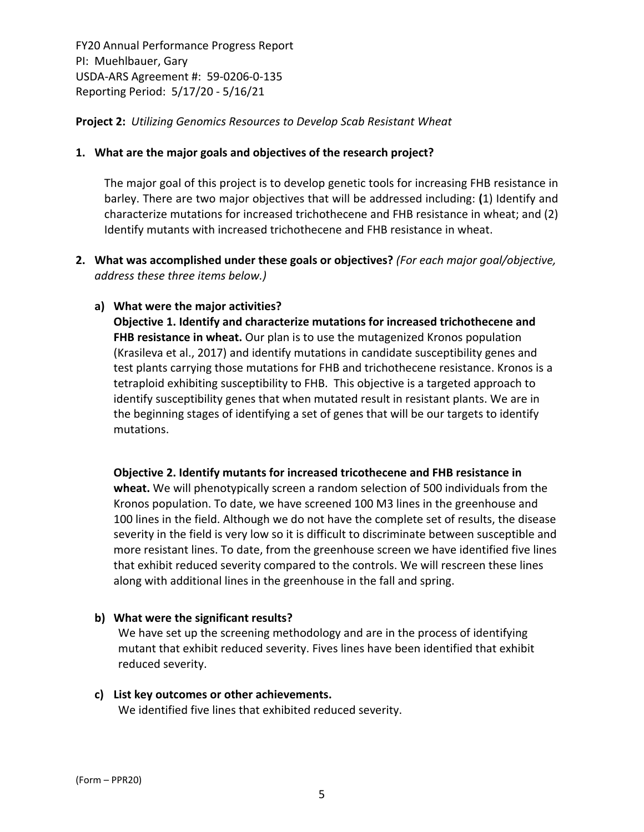**Project 2:** *Utilizing Genomics Resources to Develop Scab Resistant Wheat*

#### **1. What are the major goals and objectives of the research project?**

The major goal of this project is to develop genetic tools for increasing FHB resistance in barley. There are two major objectives that will be addressed including: **(**1) Identify and characterize mutations for increased trichothecene and FHB resistance in wheat; and (2) Identify mutants with increased trichothecene and FHB resistance in wheat.

**2. What was accomplished under these goals or objectives?** *(For each major goal/objective, address these three items below.)*

## **a) What were the major activities?**

**Objective 1. Identify and characterize mutations for increased trichothecene and FHB resistance in wheat.** Our plan is to use the mutagenized Kronos population (Krasileva et al., 2017) and identify mutations in candidate susceptibility genes and test plants carrying those mutations for FHB and trichothecene resistance. Kronos is a tetraploid exhibiting susceptibility to FHB. This objective is a targeted approach to identify susceptibility genes that when mutated result in resistant plants. We are in the beginning stages of identifying a set of genes that will be our targets to identify mutations.

**Objective 2. Identify mutants for increased tricothecene and FHB resistance in wheat.** We will phenotypically screen a random selection of 500 individuals from the Kronos population. To date, we have screened 100 M3 lines in the greenhouse and 100 lines in the field. Although we do not have the complete set of results, the disease severity in the field is very low so it is difficult to discriminate between susceptible and more resistant lines. To date, from the greenhouse screen we have identified five lines that exhibit reduced severity compared to the controls. We will rescreen these lines along with additional lines in the greenhouse in the fall and spring.

## **b) What were the significant results?**

We have set up the screening methodology and are in the process of identifying mutant that exhibit reduced severity. Fives lines have been identified that exhibit reduced severity.

## **c) List key outcomes or other achievements.**

We identified five lines that exhibited reduced severity.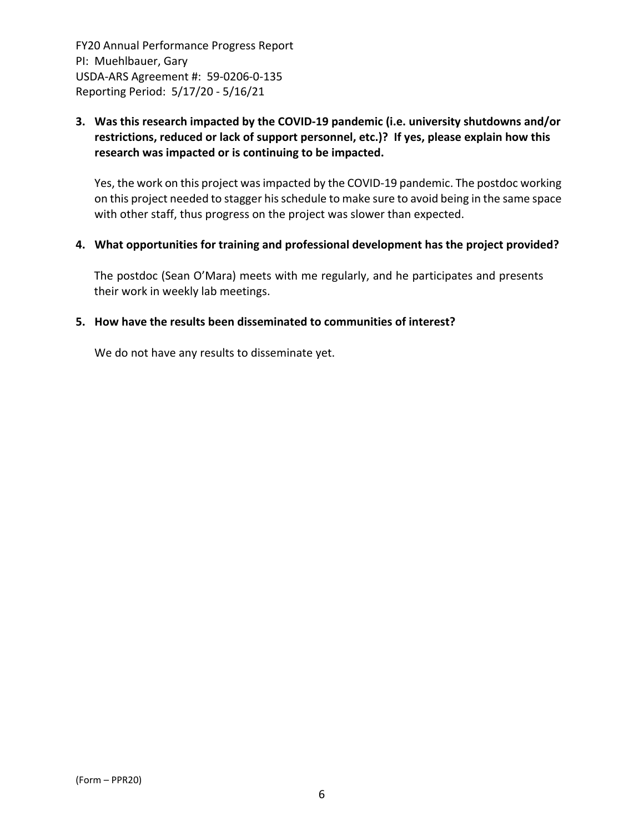## **3. Was this research impacted by the COVID‐19 pandemic (i.e. university shutdowns and/or restrictions, reduced or lack of support personnel, etc.)? If yes, please explain how this research was impacted or is continuing to be impacted.**

Yes, the work on this project was impacted by the COVID-19 pandemic. The postdoc working on this project needed to stagger his schedule to make sure to avoid being in the same space with other staff, thus progress on the project was slower than expected.

#### **4. What opportunities for training and professional development has the project provided?**

The postdoc (Sean O'Mara) meets with me regularly, and he participates and presents their work in weekly lab meetings.

## **5. How have the results been disseminated to communities of interest?**

We do not have any results to disseminate yet.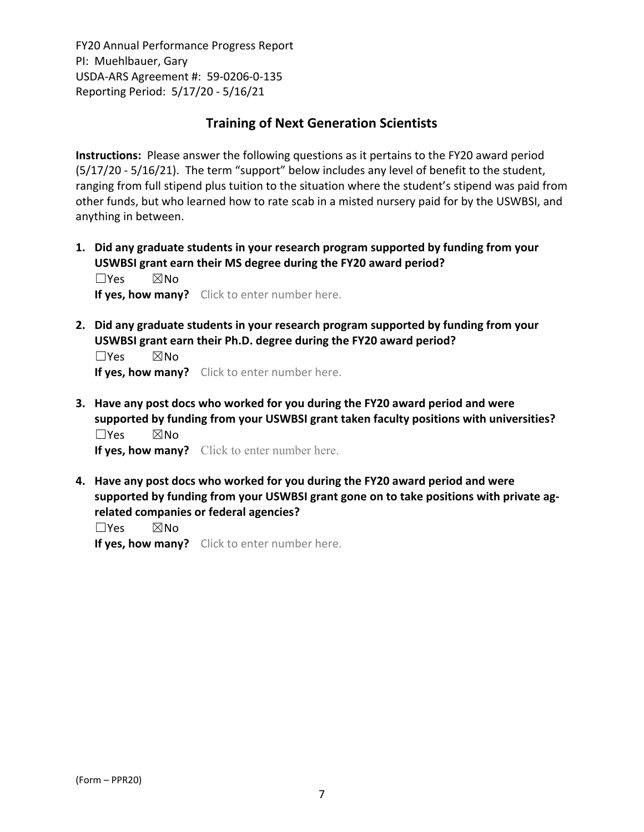# **Training of Next Generation Scientists**

**Instructions:** Please answer the following questions as it pertains to the FY20 award period (5/17/20 ‐ 5/16/21). The term "support" below includes any level of benefit to the student, ranging from full stipend plus tuition to the situation where the student's stipend was paid from other funds, but who learned how to rate scab in a misted nursery paid for by the USWBSI, and anything in between.

**1. Did any graduate students in your research program supported by funding from your USWBSI grant earn their MS degree during the FY20 award period?** ☐Yes ☒No

**If yes, how many?** Click to enter number here.

**2. Did any graduate students in your research program supported by funding from your USWBSI grant earn their Ph.D. degree during the FY20 award period?**

☐Yes ☒No **If yes, how many?** Click to enter number here.

**3. Have any post docs who worked for you during the FY20 award period and were supported by funding from your USWBSI grant taken faculty positions with universities?** ☐Yes ☒No

**If yes, how many?** Click to enter number here.

**4. Have any post docs who worked for you during the FY20 award period and were supported by funding from your USWBSI grant gone on to take positions with private ag‐ related companies or federal agencies?**

☐Yes ☒No

**If yes, how many?** Click to enter number here.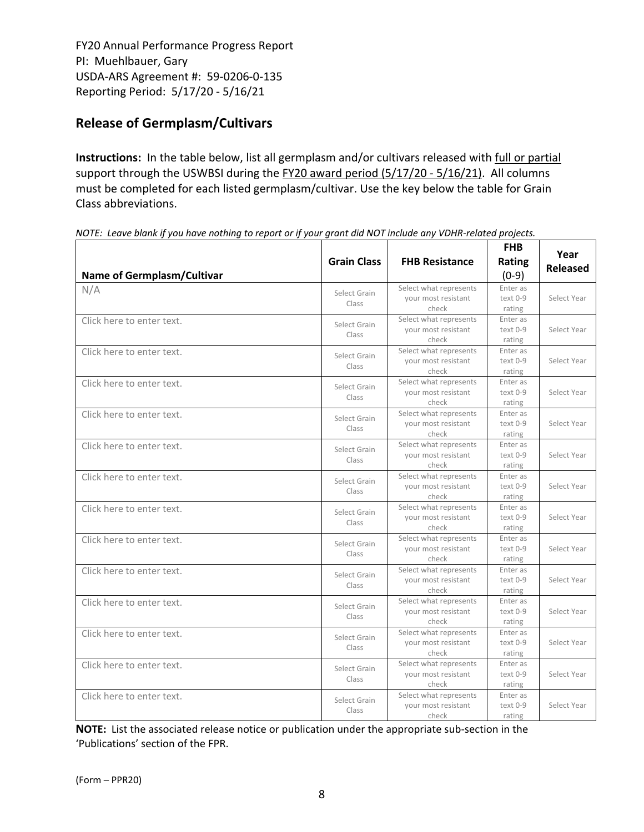# **Release of Germplasm/Cultivars**

**Instructions:** In the table below, list all germplasm and/or cultivars released with full or partial support through the USWBSI during the FY20 award period (5/17/20 - 5/16/21). All columns must be completed for each listed germplasm/cultivar. Use the key below the table for Grain Class abbreviations. 

| <b>Name of Germplasm/Cultivar</b> | <b>Grain Class</b>    | <b>FHB Resistance</b>                                  | <b>FHB</b><br>Rating<br>$(0-9)$ | Year<br><b>Released</b> |
|-----------------------------------|-----------------------|--------------------------------------------------------|---------------------------------|-------------------------|
| N/A                               | Select Grain<br>Class | Select what represents<br>your most resistant<br>check | Enter as<br>text 0-9<br>rating  | Select Year             |
| Click here to enter text.         | Select Grain<br>Class | Select what represents<br>your most resistant<br>check | Enter as<br>text 0-9<br>rating  | Select Year             |
| Click here to enter text.         | Select Grain<br>Class | Select what represents<br>vour most resistant<br>check | Enter as<br>text 0-9<br>rating  | Select Year             |
| Click here to enter text.         | Select Grain<br>Class | Select what represents<br>your most resistant<br>check | Enter as<br>text 0-9<br>rating  | Select Year             |
| Click here to enter text.         | Select Grain<br>Class | Select what represents<br>your most resistant<br>check | Enter as<br>text 0-9<br>rating  | Select Year             |
| Click here to enter text.         | Select Grain<br>Class | Select what represents<br>your most resistant<br>check | Enter as<br>text 0-9<br>rating  | Select Year             |
| Click here to enter text.         | Select Grain<br>Class | Select what represents<br>your most resistant<br>check | Enter as<br>text 0-9<br>rating  | Select Year             |
| Click here to enter text.         | Select Grain<br>Class | Select what represents<br>your most resistant<br>check | Enter as<br>text 0-9<br>rating  | Select Year             |
| Click here to enter text.         | Select Grain<br>Class | Select what represents<br>your most resistant<br>check | Enter as<br>text 0-9<br>rating  | Select Year             |
| Click here to enter text.         | Select Grain<br>Class | Select what represents<br>your most resistant<br>check | Enter as<br>text 0-9<br>rating  | Select Year             |
| Click here to enter text.         | Select Grain<br>Class | Select what represents<br>vour most resistant<br>check | Enter as<br>text 0-9<br>rating  | Select Year             |
| Click here to enter text.         | Select Grain<br>Class | Select what represents<br>your most resistant<br>check | Enter as<br>text 0-9<br>rating  | Select Year             |
| Click here to enter text.         | Select Grain<br>Class | Select what represents<br>your most resistant<br>check | Enter as<br>text 0-9<br>rating  | Select Year             |
| Click here to enter text.         | Select Grain<br>Class | Select what represents<br>your most resistant<br>check | Enter as<br>text 0-9<br>rating  | Select Year             |

NOTE: Leave blank if you have nothing to report or if your grant did NOT include any VDHR-related projects.

**NOTE:** List the associated release notice or publication under the appropriate sub-section in the 'Publications' section of the FPR.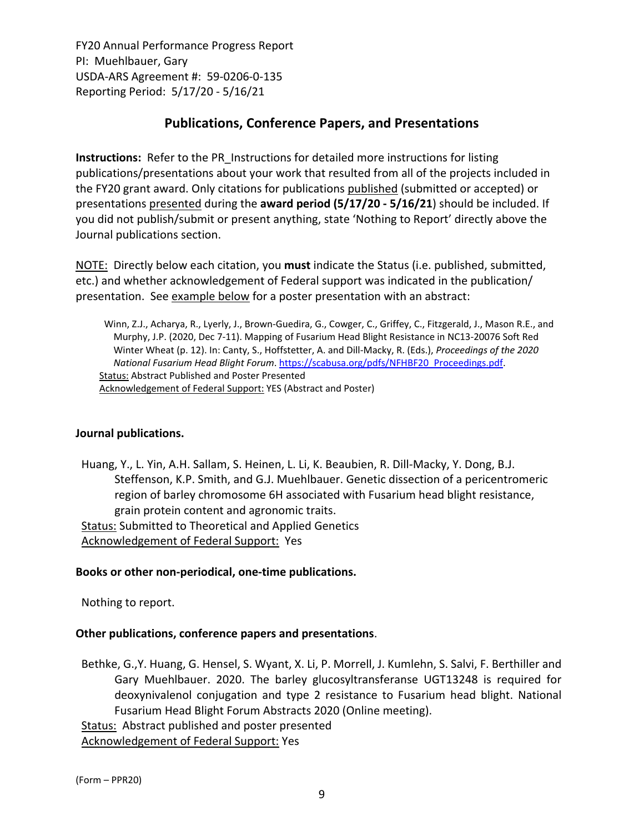# **Publications, Conference Papers, and Presentations**

**Instructions:** Refer to the PR\_Instructions for detailed more instructions for listing publications/presentations about your work that resulted from all of the projects included in the FY20 grant award. Only citations for publications published (submitted or accepted) or presentations presented during the **award period (5/17/20 ‐ 5/16/21**) should be included. If you did not publish/submit or present anything, state 'Nothing to Report' directly above the Journal publications section.

NOTE: Directly below each citation, you **must** indicate the Status (i.e. published, submitted, etc.) and whether acknowledgement of Federal support was indicated in the publication/ presentation. See example below for a poster presentation with an abstract:

Winn, Z.J., Acharya, R., Lyerly, J., Brown‐Guedira, G., Cowger, C., Griffey, C., Fitzgerald, J., Mason R.E., and Murphy, J.P. (2020, Dec 7‐11). Mapping of Fusarium Head Blight Resistance in NC13‐20076 Soft Red Winter Wheat (p. 12). In: Canty, S., Hoffstetter, A. and Dill‐Macky, R. (Eds.), *Proceedings of the 2020 National Fusarium Head Blight Forum*. https://scabusa.org/pdfs/NFHBF20\_Proceedings.pdf. Status: Abstract Published and Poster Presented Acknowledgement of Federal Support: YES (Abstract and Poster)

## **Journal publications.**

Huang, Y., L. Yin, A.H. Sallam, S. Heinen, L. Li, K. Beaubien, R. Dill‐Macky, Y. Dong, B.J. Steffenson, K.P. Smith, and G.J. Muehlbauer. Genetic dissection of a pericentromeric region of barley chromosome 6H associated with Fusarium head blight resistance, grain protein content and agronomic traits. Status: Submitted to Theoretical and Applied Genetics Acknowledgement of Federal Support: Yes

#### **Books or other non‐periodical, one‐time publications.**

Nothing to report.

## **Other publications, conference papers and presentations**.

Bethke, G.,Y. Huang, G. Hensel, S. Wyant, X. Li, P. Morrell, J. Kumlehn, S. Salvi, F. Berthiller and Gary Muehlbauer. 2020. The barley glucosyltransferanse UGT13248 is required for deoxynivalenol conjugation and type 2 resistance to Fusarium head blight. National Fusarium Head Blight Forum Abstracts 2020 (Online meeting).

Status: Abstract published and poster presented

Acknowledgement of Federal Support: Yes